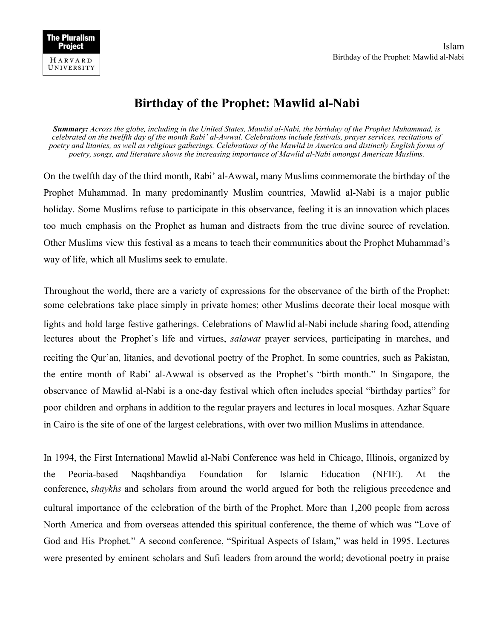## **Birthday of the Prophet: Mawlid al-Nabi**

*Summary: Across the globe, including in the United States, Mawlid al-Nabi, the birthday of the Prophet Muhammad, is celebrated on the twelfth day of the month Rabi' al-Awwal. Celebrations include festivals, prayer services, recitations of poetry and litanies, as well as religious gatherings. Celebrations of the Mawlid in America and distinctly English forms of poetry, songs, and literature shows the increasing importance of Mawlid al-Nabi amongst American Muslims.* 

On the twelfth day of the third month, Rabi' al-Awwal, many Muslims commemorate the birthday of the Prophet Muhammad. In many predominantly Muslim countries, Mawlid al-Nabi is a major public holiday. Some Muslims refuse to participate in this observance, feeling it is an innovation which places too much emphasis on the Prophet as human and distracts from the true divine source of revelation. Other Muslims view this festival as a means to teach their communities about the Prophet Muhammad's way of life, which all Muslims seek to emulate.

Throughout the world, there are a variety of expressions for the observance of the birth of the Prophet: some celebrations take place simply in private homes; other Muslims decorate their local mosque with lights and hold large festive gatherings. Celebrations of Mawlid al-Nabi include sharing food, attending lectures about the Prophet's life and virtues, *salawat* prayer services, participating in marches, and reciting the Qur'an, litanies, and devotional poetry of the Prophet. In some countries, such as Pakistan, the entire month of Rabi' al-Awwal is observed as the Prophet's "birth month." In Singapore, the observance of Mawlid al-Nabi is a one-day festival which often includes special "birthday parties" for poor children and orphans in addition to the regular prayers and lectures in local mosques. Azhar Square in Cairo is the site of one of the largest celebrations, with over two million Muslims in attendance.

In 1994, the First International Mawlid al-Nabi Conference was held in Chicago, Illinois, organized by the Peoria-based Naqshbandiya Foundation for Islamic Education (NFIE). At the conference, *shaykhs* and scholars from around the world argued for both the religious precedence and cultural importance of the celebration of the birth of the Prophet. More than 1,200 people from across North America and from overseas attended this spiritual conference, the theme of which was "Love of God and His Prophet." A second conference, "Spiritual Aspects of Islam," was held in 1995. Lectures were presented by eminent scholars and Sufi leaders from around the world; devotional poetry in praise